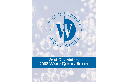

# West Des Moines 2008 WATER QUALITY REPORT

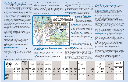## West Des Moines Drinking Water Sources

West Des Moines Water Works obtains a portion of its water from 19 shallow wells (all between 40 and 50 feet deep) that draw water from the Raccoon River Alluvial Aquifer. Water is also obtained from three wells drilled into the much deeper Jordan Aquifer (2,500 feet deep). In addition, some West Des Moines water is purchased from the Des Moines Water Works (DMWW). This is treated and purified water from the Raccoon and Des Moines Rivers, which is blended with treated water from the West Des Moines Water Works. Approximately 5000 West Des Moines Water Works customers (see map) receive their water solely from the Des Moines Water Works. Des Moines Water Works Source Water Assessment (SWA) identifies contaminants having an impact on the Raccoon and Des Moines River watersheds. To obtain a copy of the SWA, visit www.dmww.com or call (515) 222-3460 to request a copy. The lab test results for both utilities are listed in this report.

The Iowa Department of Natural Resources (IDNR) has determined the Raccoon River Alluvial Aquifer to be highly susceptible to contamination because the characteristics of the aquifer and overlying materials allow contaminants to move through the aquifer fairly quickly. The alluvial wells will be most susceptible to dry cleaners, gas stations, industrial sites and wastewater dischargers. It is important to note that no contaminants resulting from these activities have been found in your drinking water.

The IDNR has also determined that the Jordan Aquifer is not susceptible to contamination because the characteristics of the aquifer and overlying materials prevent easy access of contaminants to the aquifer. The Jordan Aquifer will not be susceptible to most contaminant sources except through pathways to the aquifer, such as abandoned or poorly maintained wells.

Pesticides and herbicides, which may come from a variety of sources such as agriculture, urban stormwater runoff and residential uses.

#### Regulatory Information

The sources of drinking water (both tap water and bottled water) include rivers, lakes, streams, ponds, reservoirs, springs and wells. As water travels over the surface of the land or throughout the ground, it dissolves naturally occurring minerals and, in some cases, radioactive material, and can pick up substances resulting from the presence of animals and human activity.

The Level Found can be the highest amount found in the water or the average of all samples tested, depending on the regulation for the sustance. If multiple samples were tested in 2007, the lowest and highest detected values are listed under Range of Detections.

ND is not detected. NA is not applicable. NTU is Nephelometric Turbidity Units. The EPA requires DMWW to employ certain treatment processes to reduce turbidity and eliminate microorganisms. Turbidity must never exceed 1 NTU, and must be less than 0.3 NTU 95% of the time.

Regulated substances have **Maximum** Contaminant Levels (MCLs) set by EPA. This is the highest level of the substance allowed in drinking water. Some substances also have MCL Goals (MCLGs). This is the level of a substance

In order to ensure that tap water is safe to drink, the Environmental Protection Agency (EPA) prescribes regulations which limit the amount of certain contaminants in water provided

by public water systems. Food and Drug Administration regulations establish limits for contaminants in bottled water, which must provide the same protection for public health.

Drinking water, including bottled water, may reasonably be expected to contain at least small amounts of some contaminants. The presence of contaminants does not necessarily indicate that water poses a health risk. More information about contaminants and potential health effects can be obtained by calling the EPA's Safe Drinking Water Hotline (1-800-426-4791).

#### Contaminants that may be present in source water include:

Microbial contaminants, such as viruses and bacteria, which may come from sewage treatment plants, septic systems, agricultural livestock operations and wildlife.

Inorganic contaminants, such as salts and metals, which can be naturally occurring or result from urban stormwater runoff, industrial or domestic wastewater discharges, oil and gas production, mining or farming.

Organic chemical contaminants, including synthetic and volatile organic chemicals, which are by-products of industrial processes and petroleum production, and can also come from gas stations, urban stormwater runoff, and septic systems.

Radioactive contaminants, which can be naturally occurring or the result of oil and gas production and mining

activities.

## Interpreting the Lab Data

Testing for some contaminants is not required on an annual basis; for this reason, some results from previous year's testing are also included in the table.

which a water system must follow. Monitoring for lead and copper is required only once every three years.

The Maximum Residual Disinfectant Level (MRDL) is the highest level of a disinfectant allowed in drinking water. There is convincing evidence that addition of a disinfectant is necessary for control of microbial contaminants.

The MRDL Goal (MRDLG) is the level of disinfectant where there is no known or expected risk to health. MRDLGs do not reflect the benefits of the use of disinfectants to control microbial contaminants.

LEAD: If present, elevated levels of lead can cause serious health problems, especially for pregnant women and young children. Lead in drinking water is primarily from materials and components associated with service lines and home plumbing. West Des Moines Water Works is responsible for providing high quality drinking water, but cannot control the variety of materials used in plumbing components. When your water has been sitting for several hours, you can minimize the potential for lead exposure by flushing the tap for 30 seconds to 2 minutes before using water for drinking or cooking. If you are concerned about lead in your water, you may wish to have your water tested. Information on lead in drinking water, testing methods, and steps you can take to minimize exposure is available from the Safe Drinking Water Hotline or at http://www.epa.gov/safewater/lead.

where there is no known or expected health risk. MCLGs allow for a margin of safety. MCLs are set as close to MCLGs as feasible using the best available water treatment processes. Monitoring also occurs for some unregulated substances that do not have established MCLs or MCLGs. EPA evaluates data from this monitoring when assessing future drinking water regulations. The MCL for lead and copper is known as the Action Level (AL). This is the concentration of a substance which, when exceeded, triggers treatment or other requirements Immuno-compromised persons, such as persons with cancer undergoing chemotherapy, persons who have undergone organ transplants, people with HIV/AIDS or other immune system disorders, some elderly and infants can be particularly at risk from infections. These people should seek advice about drinking water from their health care providers. EPA/CDC guidelines on appropriate means to lessen the risk of infection by Cryptosporidium and other microbial contaminants are available from the Safe Drinking Water Hotline (1-800-426-4791).

| DES MON                                       | <b>Total Trihalomethanes</b><br>Byproduct of drinking water<br>disinfection.<br>Units: ppb |                        | <b>Total Haloacetic</b><br><b>Acids</b><br>By product of drinking water<br>disinfection.<br>Units: ppb |                               | <b>Atrazine</b><br>Runoff from herbicide used<br>on row crops.<br>Units: ppb |                        | Turbidity<br>Soil runoff. Turbidity is a<br>measurement of water clarity.<br>Units: NTU |                        | Nitrate as Nitrogen<br>Runoff from fertilizer use:<br>leaching from septic tanks.<br>sewage, erosion of natural<br>deposits.<br>Units: ppm |                        | Fluoride<br>Erosion of natural deposits.<br>Units: ppm |                        | Sodium<br>Erosion of natural deposits<br>Units: ppm |                        | <b>Sulfate</b><br>Erosion of natural deposits.<br>Units: ppm |                               | <b>Chlorine</b><br>Water additive used to control<br>microbes.<br>Units: ppm |                                      | <b>Combined Radium</b><br>Erosion of natural deposits.<br>Units: pCiA |                               | Copper<br>Corrosion of household plumbing<br>systems.<br>Units: ppm  |                                      | Lead<br>Corrosion of household plumbing<br>systems.<br>Units: ppb |                               | <b>Total Organic Carbon</b><br><b>Removal Ratio</b> |                        |
|-----------------------------------------------|--------------------------------------------------------------------------------------------|------------------------|--------------------------------------------------------------------------------------------------------|-------------------------------|------------------------------------------------------------------------------|------------------------|-----------------------------------------------------------------------------------------|------------------------|--------------------------------------------------------------------------------------------------------------------------------------------|------------------------|--------------------------------------------------------|------------------------|-----------------------------------------------------|------------------------|--------------------------------------------------------------|-------------------------------|------------------------------------------------------------------------------|--------------------------------------|-----------------------------------------------------------------------|-------------------------------|----------------------------------------------------------------------|--------------------------------------|-------------------------------------------------------------------|-------------------------------|-----------------------------------------------------|------------------------|
| <b>ATER WORKS</b>                             | MCL: 80; MCLG: 0                                                                           |                        | MCL: 60; MCLG: 0                                                                                       |                               | MCL: 3; MCLG: 3                                                              |                        | Treatment Technique                                                                     |                        | MCL: 10; MCLG: 10                                                                                                                          |                        | MCL: 4; MCLG: 4                                        |                        | No EPA Limit                                        |                        | No EPA Limit                                                 |                               | MRDL: 4; MRDLG: 4                                                            |                                      | MCL: 5; MCLG: 0                                                       |                               | AL: (90% of samples must <1.3   AL: (90% of samples must <15<br>ppm) |                                      | ppb)                                                              |                               | Minimum<br>Annual                                   |                        |
| <b>Water Treatment Plant</b>                  | Level<br>Found                                                                             | Range of<br>Detections | Level<br>Found                                                                                         | Range of<br><b>Detections</b> | Level<br>Found                                                               | Range of<br>Detections | Level<br>Found                                                                          | Range of<br>Detections | Level<br>Found                                                                                                                             | Range of<br>Detections | Level<br><b>Found</b>                                  | Range of<br>Detections | Level<br>Found                                      | Range of<br>Detections | Level<br>Found                                               | <b>Range of</b><br>Detections | Level<br>Found                                                               | <b>Range of</b><br><b>Detections</b> | <b>Level Found</b>                                                    | Range of<br><b>Detections</b> | Level Found                                                          | <b>Range of</b><br><b>Detections</b> | <b>Level Found</b>                                                | Range of<br><b>Detections</b> | Removal<br>Ratio                                    | Removal<br>Requirement |
| <b>West Des Moines</b><br>A.C. Ward Municipal | 3.88                                                                                       | NA-5.4                 | <b>NA</b>                                                                                              | <b>NA</b>                     | <b>NA</b>                                                                    | <b>NA</b>              | <b>NA</b>                                                                               | <b>NA</b>              | 1.3                                                                                                                                        | ND-1.3                 | 0.97                                                   | <b>NA</b>              | 160                                                 | <b>NA</b>              | 300                                                          | <b>NA</b>                     | 1.3                                                                          | 0.07-2.58                            | 1.3                                                                   | <b>NA</b>                     | 0 out of 30<br>samples above                                         | ND-0.24                              | 1 out of 30<br>samples above                                      | <b>ND 34</b>                  | <b>NA</b>                                           | <b>NA</b>              |
| Des Moines<br><b>Fleur Drive</b>              | 48                                                                                         | 31-59                  | 7.5                                                                                                    | $6-9$                         | <b>ND</b>                                                                    | <b>ND</b>              | <0.3                                                                                    | $0.03 - 0.11$          | 9.6                                                                                                                                        | $1.5 - 9.6$            | 1.33                                                   | $0.19 - 1.33$          | 47                                                  | 2.6-47                 | 71                                                           | $35 - 71$                     | 0.65                                                                         | 0.55-0.75                            | 0.7<br>2003                                                           | <b>NA</b>                     | <b>NA</b>                                                            | <b>NA</b>                            | <b>NA</b>                                                         | <b>NA</b>                     | 2.35                                                |                        |
| <b>Des Moines</b><br><b>McMullen</b>          | 33                                                                                         | 24-48                  | 8.8                                                                                                    | $7 - 10$                      | 0.1                                                                          | <b>NA</b>              | <0.3                                                                                    | $0.04 - 0.12$          | 10 <sup>1</sup>                                                                                                                            | 0.58-10                | 1.35                                                   | $0.17 - 1.35$          | 14                                                  | $3.1 - 14$             | 54                                                           | 21-54                         | 0.65                                                                         | 0.55-0.75                            | <b>ND</b>                                                             | <b>ND</b>                     | <b>NA</b>                                                            | NA                                   | <b>NA</b>                                                         | <b>NA</b>                     | 1.68                                                |                        |

Nitrate in Drinking Water: Nitrate in drinking water above 10 parts per milion is a health risk for infants of less than six months of age. High nitrate levels may rise quickly for short periods of time because of rainfall or agricultural activity. The Des Moines Water Works' treated water has not exceeded 10 ppm since their nitrate removal facility was implemented in 1992. If you are caring for an infant, you should ask for advice from your health care provider concerning this issue. We recommend that you observe reports in the news media regarding the nitrate levels at the Des Moines Water Works.

Some people may be more vulnerable to contaminants in drinking water than the general population.